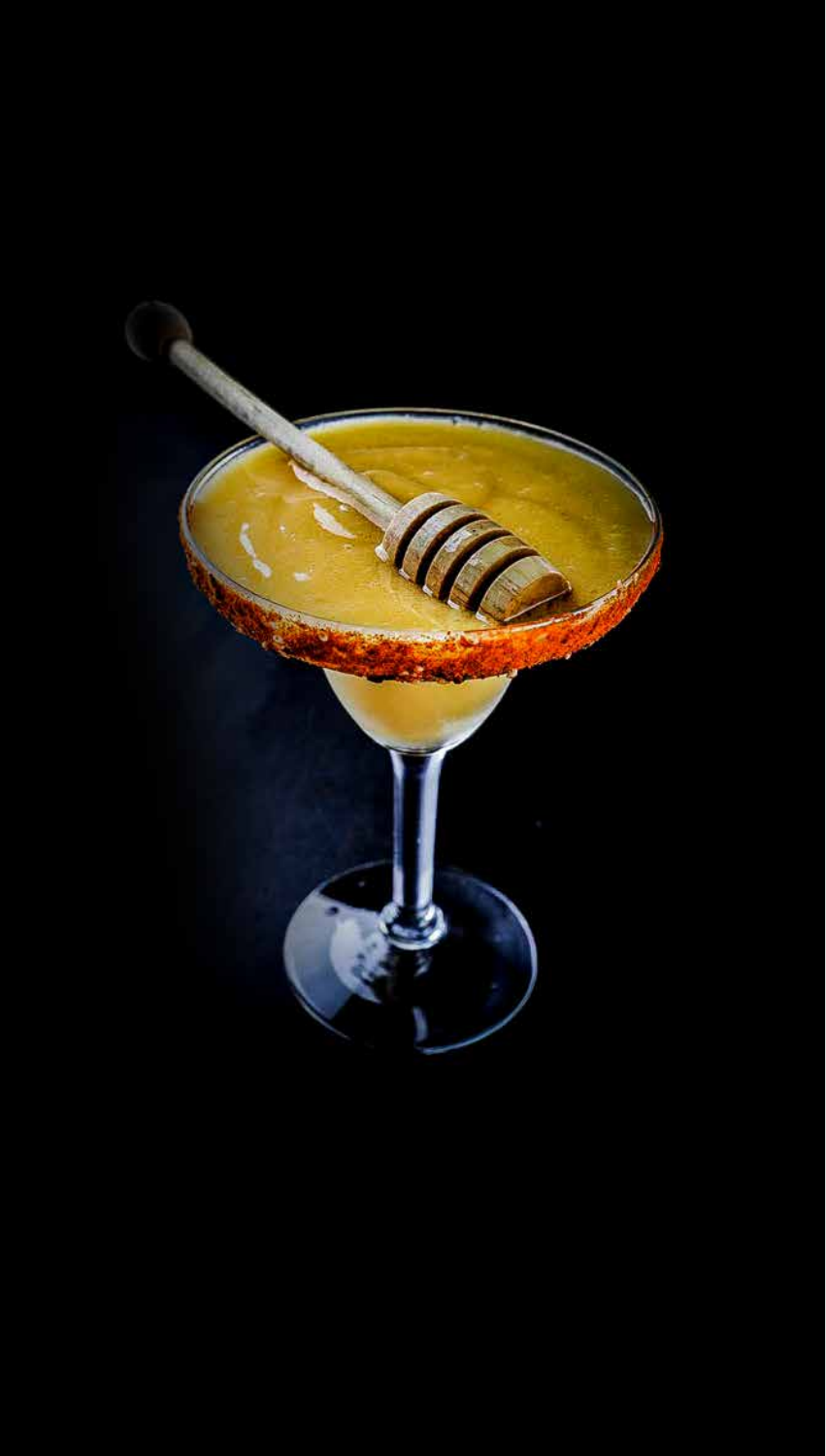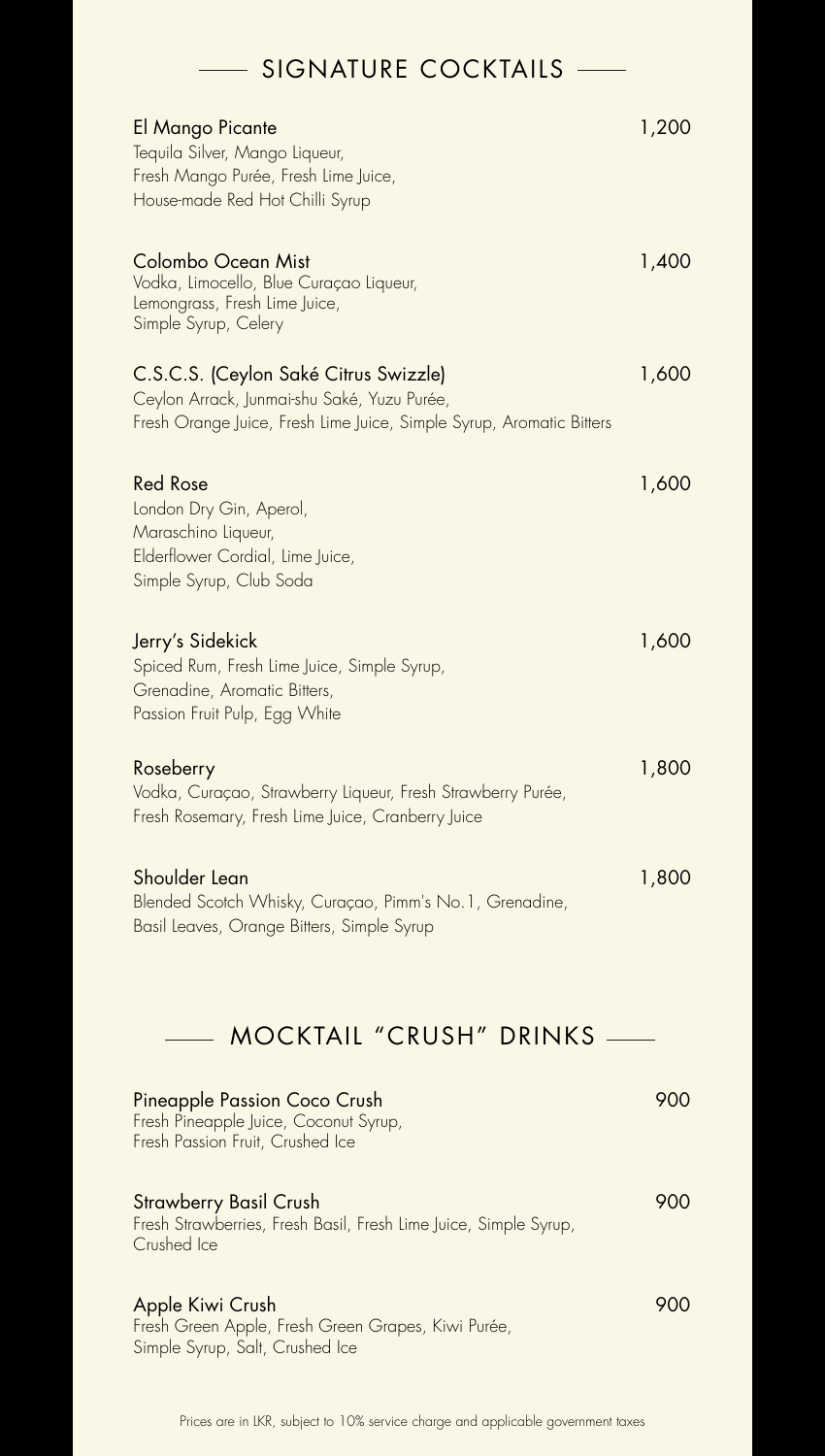| SIGNATURE COCKTAILS                                                                                                                                          |       |
|--------------------------------------------------------------------------------------------------------------------------------------------------------------|-------|
| El Mango Picante<br>Tequila Silver, Mango Liqueur,<br>Fresh Mango Purée, Fresh Lime Juice,<br>House-made Red Hot Chilli Syrup                                | 1,200 |
| Colombo Ocean Mist<br>Vodka, Limocello, Blue Curaçao Liqueur,<br>Lemongrass, Fresh Lime Juice,<br>Simple Syrup, Celery                                       | 1,400 |
| C.S.C.S. (Ceylon Saké Citrus Swizzle)<br>Ceylon Arrack, Junmai-shu Saké, Yuzu Purée,<br>Fresh Orange Juice, Fresh Lime Juice, Simple Syrup, Aromatic Bitters | 1,600 |
| <b>Red Rose</b><br>London Dry Gin, Aperol,<br>Maraschino Liqueur,<br>Elderflower Cordial, Lime Juice,<br>Simple Syrup, Club Soda                             | 1,600 |
| Jerry's Sidekick<br>Spiced Rum, Fresh Lime Juice, Simple Syrup,<br>Grenadine, Aromatic Bitters,<br>Passion Fruit Pulp, Egg White                             | 1,600 |
| Roseberry<br>Vodka, Curaçao, Strawberry Liqueur, Fresh Strawberry Purée,<br>Fresh Rosemary, Fresh Lime Juice, Cranberry Juice                                | 1,800 |
| Shoulder Lean<br>Blended Scotch Whisky, Curaçao, Pimm's No.1, Grenadine,<br>Basil Leaves, Orange Bitters, Simple Syrup                                       | 1,800 |
| MOCKTAIL "CRUSH" DRINKS                                                                                                                                      |       |
| <b>Pineapple Passion Coco Crush</b><br>Fresh Pineapple Juice, Coconut Syrup,<br>Fresh Passion Fruit, Crushed Ice                                             | 900   |
| <b>Strawberry Basil Crush</b><br>Fresh Strawberries, Fresh Basil, Fresh Lime Juice, Simple Syrup,<br>Crushed Ice                                             | 900   |

Apple Kiwi Crush 900 Fresh Green Apple, Fresh Green Grapes, Kiwi Purée, Simple Syrup, Salt, Crushed Ice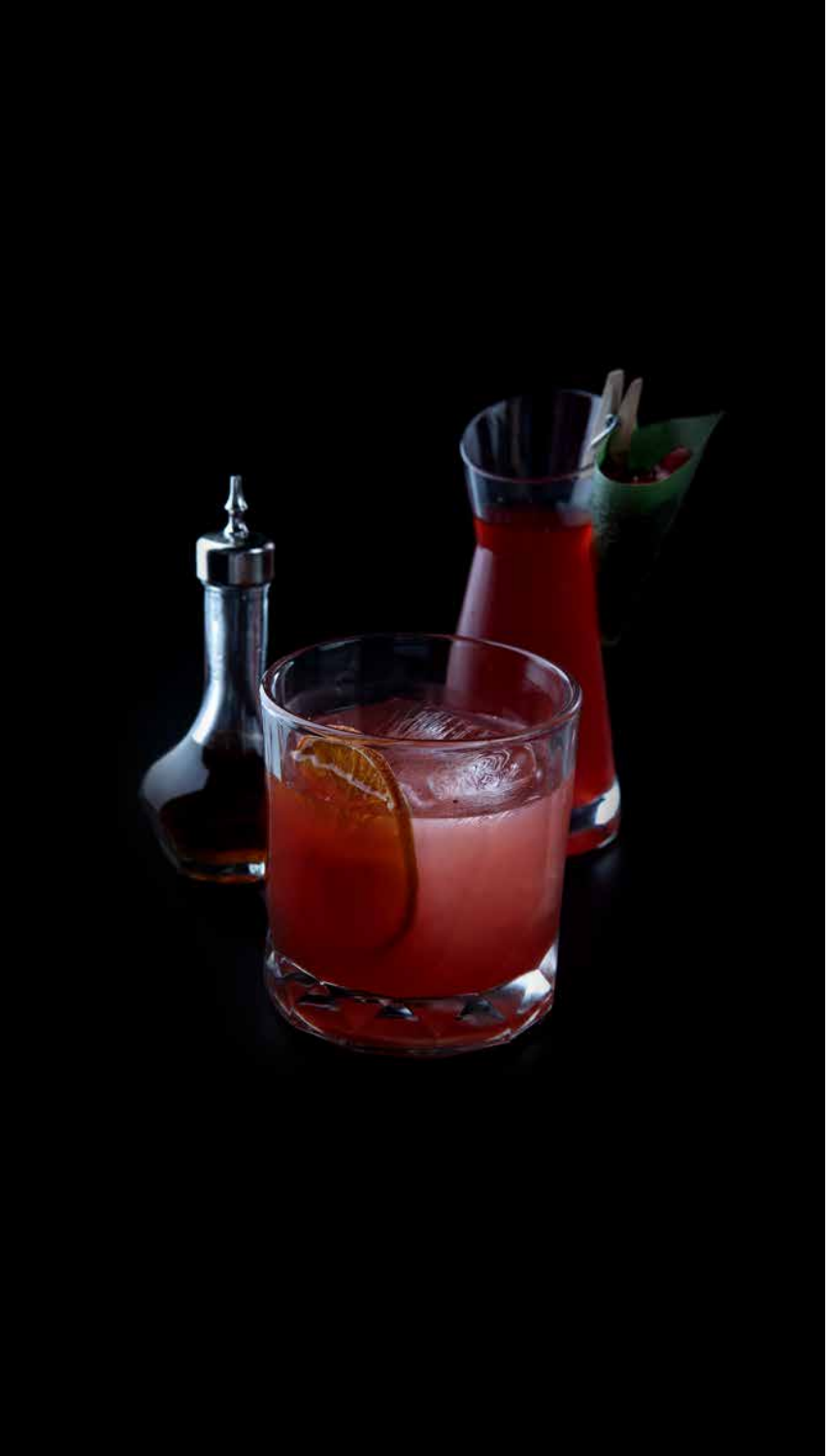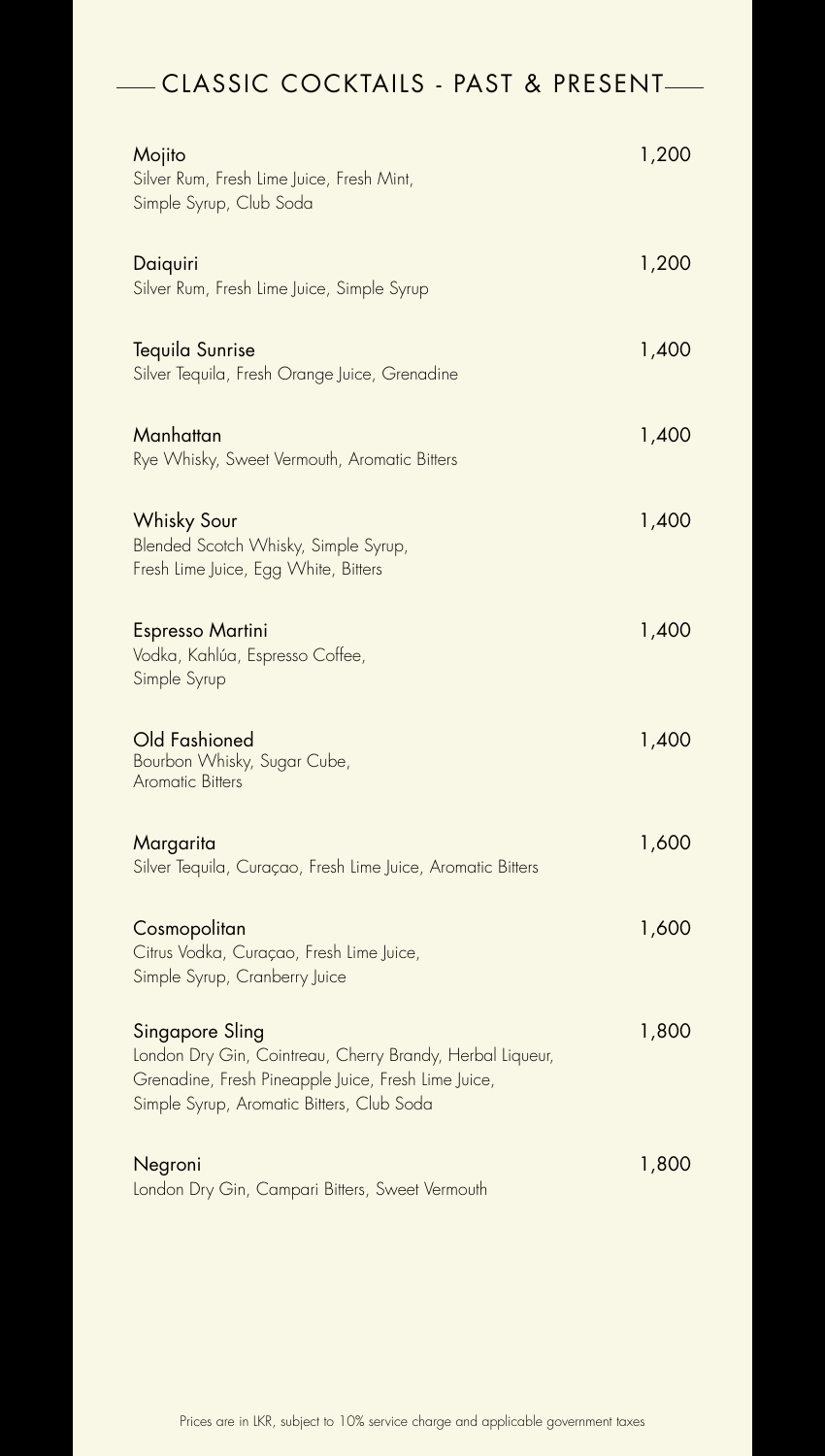## -CLASSIC COCKTAILS - PAST & PRESENT-

| Mojito<br>Silver Rum, Fresh Lime Juice, Fresh Mint,<br>Simple Syrup, Club Soda                                                                                                   | 1,200 |
|----------------------------------------------------------------------------------------------------------------------------------------------------------------------------------|-------|
| Daiquiri<br>Silver Rum, Fresh Lime Juice, Simple Syrup                                                                                                                           | 1,200 |
| Tequila Sunrise<br>Silver Tequila, Fresh Orange Juice, Grenadine                                                                                                                 | 1,400 |
| Manhattan<br>Rye Whisky, Sweet Vermouth, Aromatic Bitters                                                                                                                        | 1,400 |
| <b>Whisky Sour</b><br>Blended Scotch Whisky, Simple Syrup,<br>Fresh Lime Juice, Egg White, Bitters                                                                               | 1,400 |
| <b>Espresso Martini</b><br>Vodka, Kahlúa, Espresso Coffee,<br>Simple Syrup                                                                                                       | 1,400 |
| Old Fashioned<br>Bourbon Whisky, Sugar Cube,<br><b>Aromatic Bitters</b>                                                                                                          | 1,400 |
| Margarita<br>Silver Tequila, Curaçao, Fresh Lime Juice, Aromatic Bitters                                                                                                         | 1,600 |
| Cosmopolitan<br>Citrus Vodka, Curaçao, Fresh Lime Juice,<br>Simple Syrup, Cranberry Juice                                                                                        | 1,600 |
| Singapore Sling<br>London Dry Gin, Cointreau, Cherry Brandy, Herbal Liqueur,<br>Grenadine, Fresh Pineapple Juice, Fresh Lime Juice,<br>Simple Syrup, Aromatic Bitters, Club Soda | 1,800 |
| Negroni<br>London Dry Gin, Campari Bitters, Sweet Vermouth                                                                                                                       | 1,800 |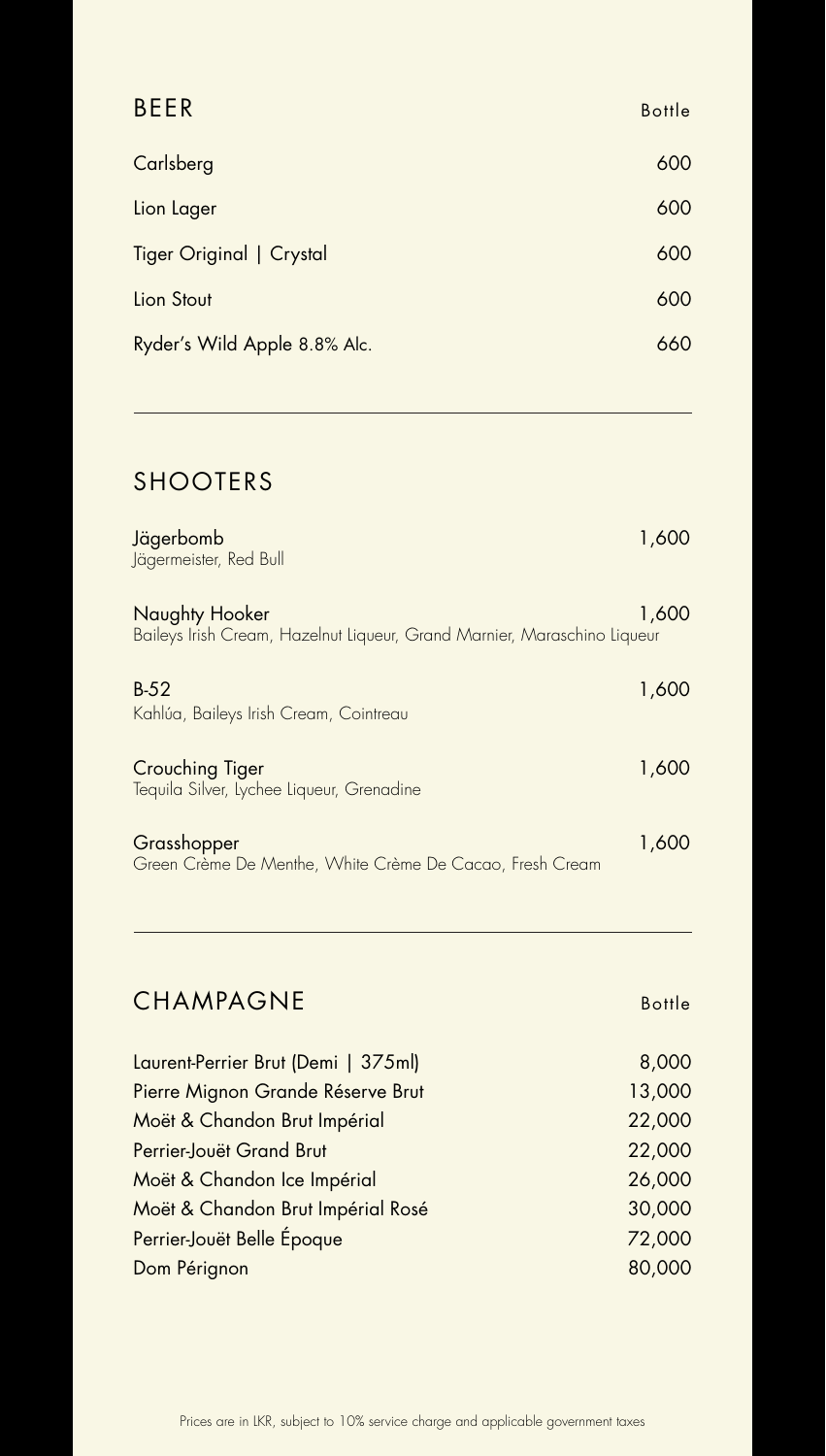| <b>BEER</b>                  | <b>Bottle</b> |
|------------------------------|---------------|
| Carlsberg                    | 600           |
| Lion Lager                   | 600           |
| Tiger Original   Crystal     | 600           |
| Lion Stout                   | 600           |
| Ryder's Wild Apple 8.8% Alc. | 660           |

# SHOOTERS

| Jägerbomb<br>Jägermeister, Red Bull                                                        | 1,600 |
|--------------------------------------------------------------------------------------------|-------|
| Naughty Hooker<br>Baileys Irish Cream, Hazelnut Liqueur, Grand Marnier, Maraschino Liqueur | 1,600 |
| $B-52$<br>Kahlúa, Baileys Irish Cream, Cointreau                                           | 1,600 |
| <b>Crouching Tiger</b><br>Tequila Silver, Lychee Liqueur, Grenadine                        | 1,600 |
| Grasshopper<br>Green Crème De Menthe, White Crème De Cacao, Fresh Cream                    | 1,600 |

| <b>CHAMPAGNE</b>                    | <b>Bottle</b> |
|-------------------------------------|---------------|
| Laurent-Perrier Brut (Demi   375ml) | 8,000         |
| Pierre Mignon Grande Réserve Brut   | 13,000        |
| Moët & Chandon Brut Impérial        | 22,000        |
| Perrier-Jouët Grand Brut            | 22,000        |
| Moët & Chandon Ice Impérial         | 26,000        |
| Moët & Chandon Brut Impérial Rosé   | 30,000        |
| Perrier-Jouët Belle Époque          | 72,000        |
| Dom Pérignon                        | 80,000        |
|                                     |               |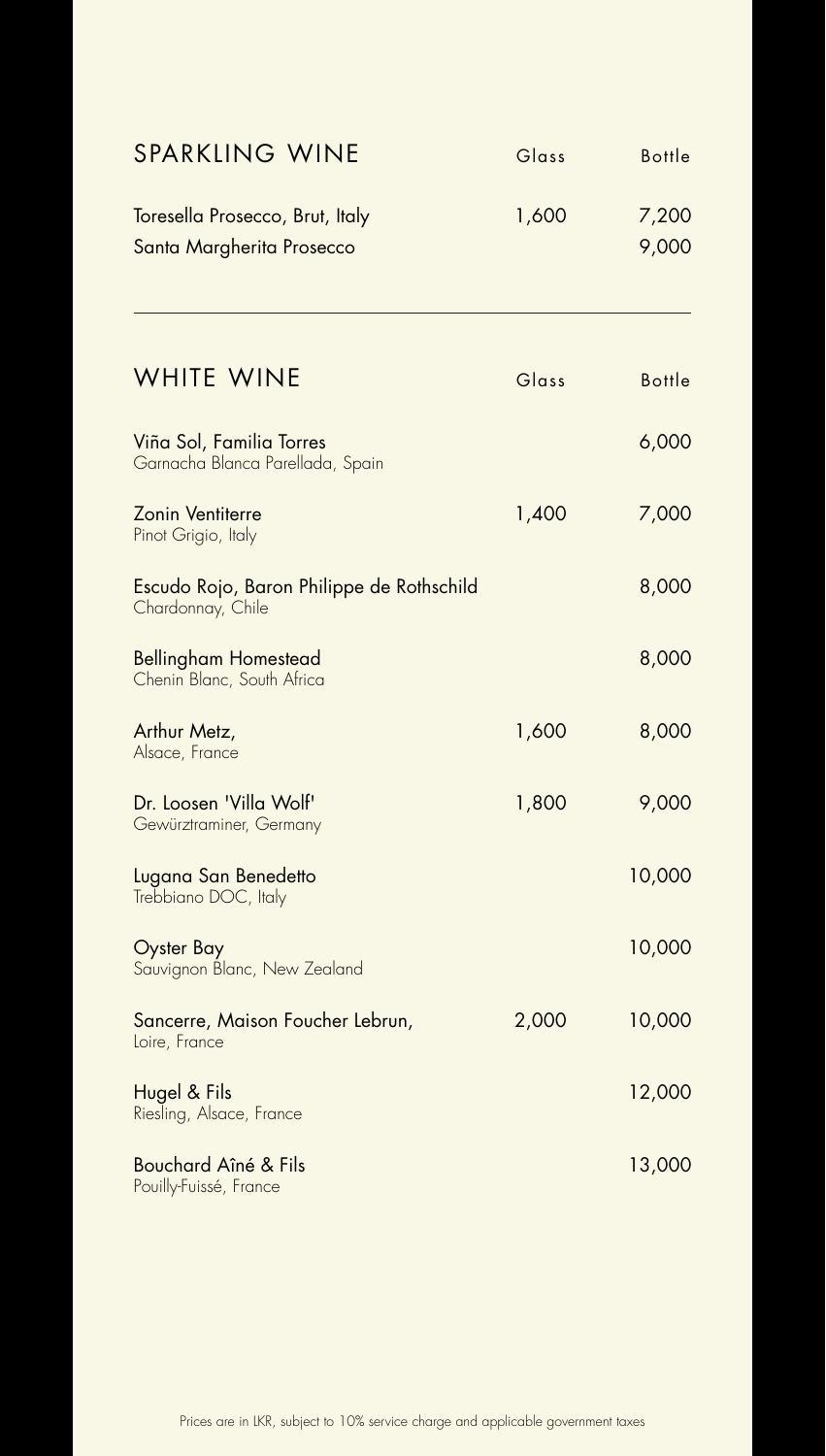| <b>SPARKLING WINE</b>                                          | Glass | <b>Bottle</b>  |
|----------------------------------------------------------------|-------|----------------|
| Toresella Prosecco, Brut, Italy<br>Santa Margherita Prosecco   | 1,600 | 7,200<br>9,000 |
| <b>WHITE WINE</b>                                              | Glass | <b>Bottle</b>  |
| Viña Sol, Familia Torres<br>Garnacha Blanca Parellada, Spain   |       | 6,000          |
| Zonin Ventiterre<br>Pinot Grigio, Italy                        | 1,400 | 7,000          |
| Escudo Rojo, Baron Philippe de Rothschild<br>Chardonnay, Chile |       | 8,000          |
| <b>Bellingham Homestead</b><br>Chenin Blanc, South Africa      |       | 8,000          |
| Arthur Metz,<br>Alsace, France                                 | 1,600 | 8,000          |
| Dr. Loosen 'Villa Wolf'<br>Gewürztraminer, Germany             | 1,800 | 9,000          |
| Lugana San Benedetto<br>Trebbiano DOC, Italy                   |       | 10,000         |
| <b>Oyster Bay</b><br>Sauvignon Blanc, New Zealand              |       | 10,000         |
| Sancerre, Maison Foucher Lebrun,<br>Loire, France              | 2,000 | 10,000         |
| Hugel & Fils<br>Riesling, Alsace, France                       |       | 12,000         |
| Bouchard Aîné & Fils<br>Pouilly-Fuissé, France                 |       | 13,000         |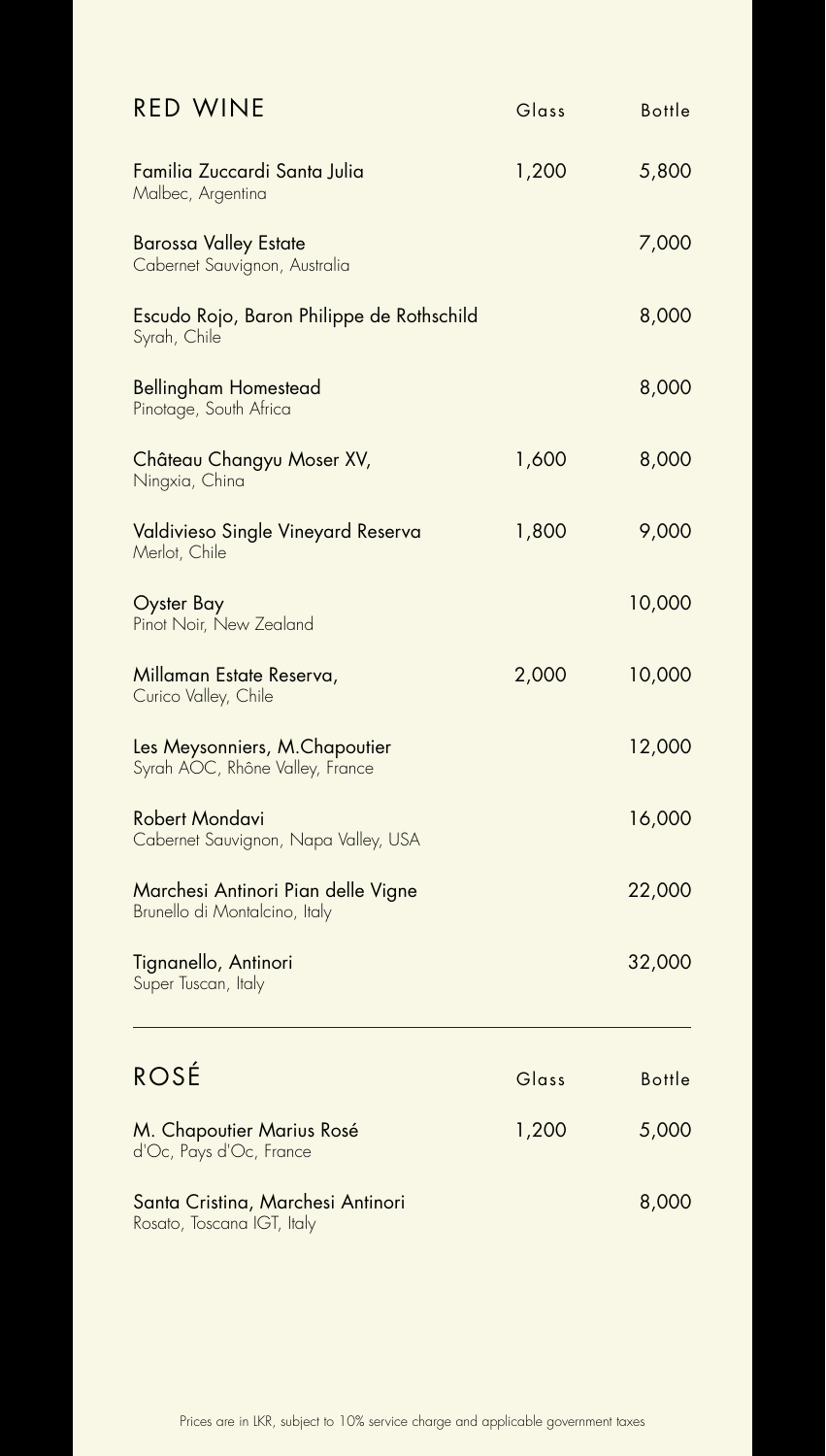| <b>RED WINE</b>                                                     | Glass | <b>Bottle</b> |
|---------------------------------------------------------------------|-------|---------------|
| Familia Zuccardi Santa Julia<br>Malbec, Argentina                   | 1,200 | 5,800         |
| Barossa Valley Estate<br>Cabernet Sauvignon, Australia              |       | 7,000         |
| Escudo Rojo, Baron Philippe de Rothschild<br>Syrah, Chile           |       | 8,000         |
| <b>Bellingham Homestead</b><br>Pinotage, South Africa               |       | 8,000         |
| Château Changyu Moser XV,<br>Ningxia, China                         | 1,600 | 8,000         |
| Valdivieso Single Vineyard Reserva<br>Merlot, Chile                 | 1,800 | 9,000         |
| <b>Oyster Bay</b><br>Pinot Noir, New Zealand                        |       | 10,000        |
| Millaman Estate Reserva,<br>Curico Valley, Chile                    | 2,000 | 10,000        |
| Les Meysonniers, M.Chapoutier<br>Syrah AOC, Rhône Valley, France    |       | 12,000        |
| <b>Robert Mondavi</b><br>Cabernet Sauvignon, Napa Valley, USA       |       | 16,000        |
| Marchesi Antinori Pian delle Vigne<br>Brunello di Montalcino, Italy |       | 22,000        |
| Tignanello, Antinori<br>Super Tuscan, Italy                         |       | 32,000        |
| ROSÉ                                                                | Glass | <b>Bottle</b> |
| M. Chapoutier Marius Rosé<br>d'Oc, Pays d'Oc, France                | 1,200 | 5,000         |
| Santa Cristina, Marchesi Antinori<br>Rosato, Toscana IGT, Italy     |       | 8,000         |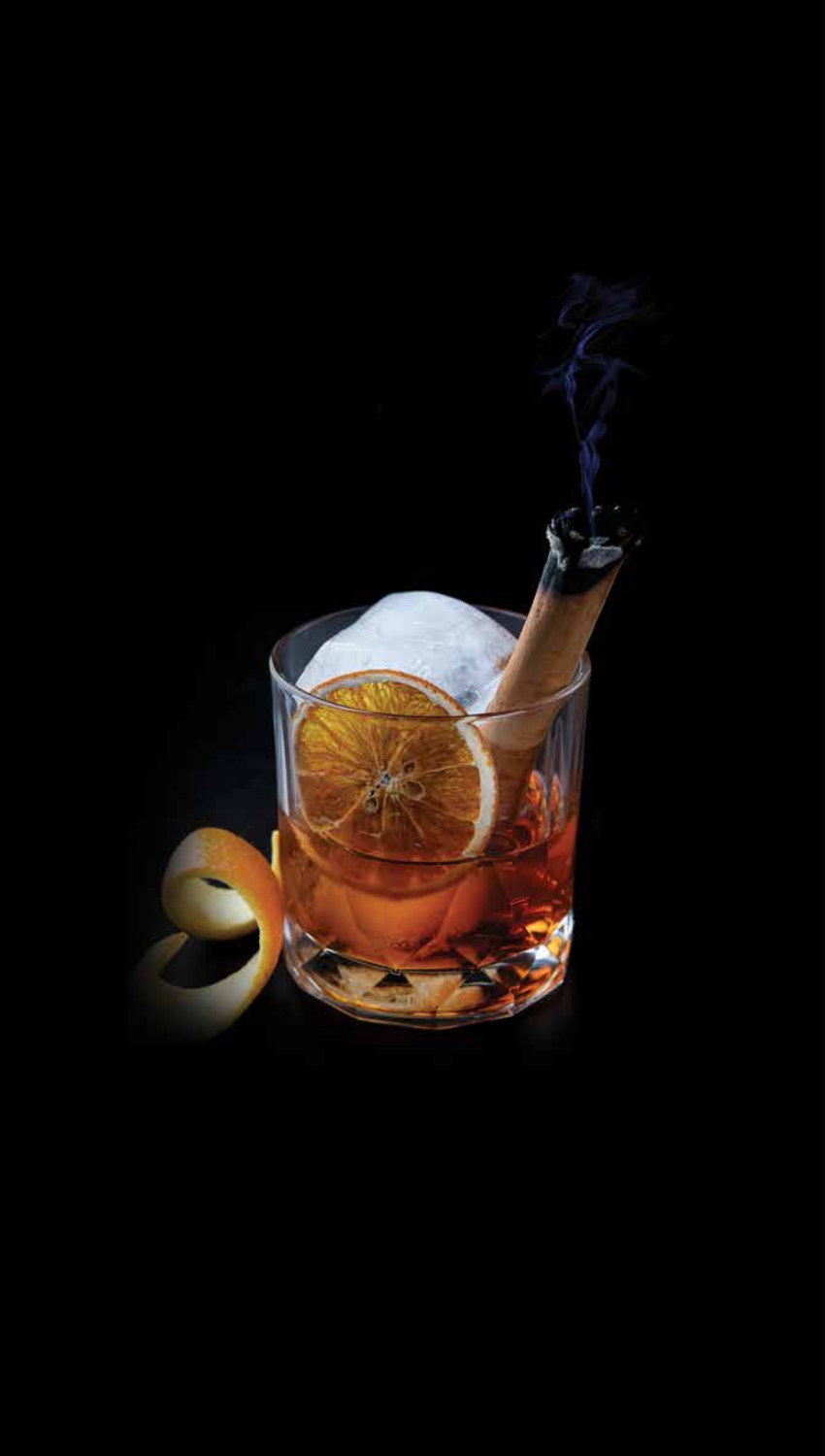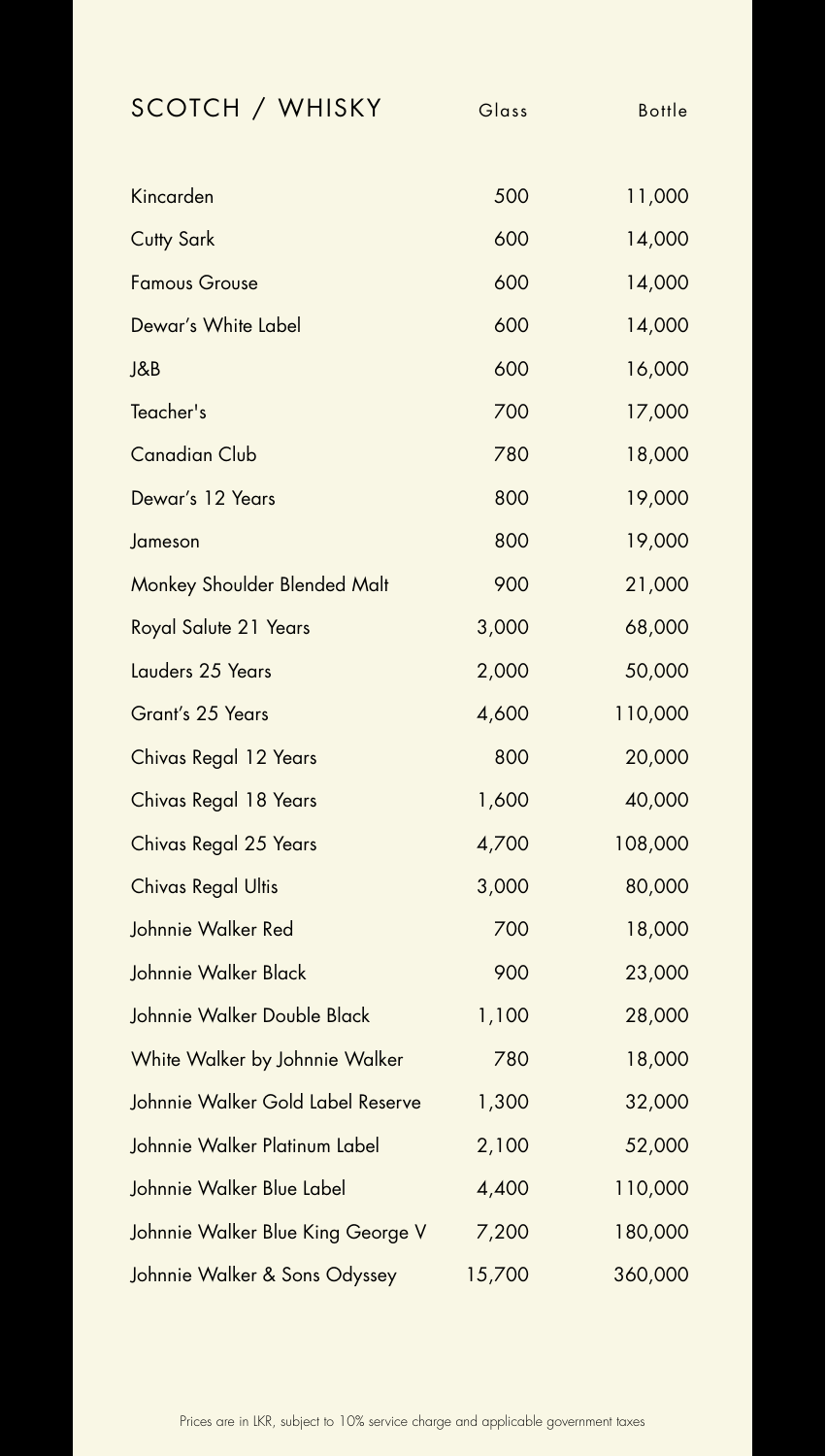| SCOTCH / WHISKY                     | Glass  | <b>Bottle</b> |
|-------------------------------------|--------|---------------|
| Kincarden                           | 500    | 11,000        |
| <b>Cutty Sark</b>                   | 600    | 14,000        |
| <b>Famous Grouse</b>                | 600    | 14,000        |
| Dewar's White Label                 | 600    | 14,000        |
| J&B                                 | 600    | 16,000        |
| Teacher's                           | 700    | 17,000        |
| <b>Canadian Club</b>                | 780    | 18,000        |
| Dewar's 12 Years                    | 800    | 19,000        |
| Jameson                             | 800    | 19,000        |
| <b>Monkey Shoulder Blended Malt</b> | 900    | 21,000        |
| Royal Salute 21 Years               | 3,000  | 68,000        |
| Lauders 25 Years                    | 2,000  | 50,000        |
| Grant's 25 Years                    | 4,600  | 110,000       |
| Chivas Regal 12 Years               | 800    | 20,000        |
| Chivas Regal 18 Years               | 1,600  | 40,000        |
| Chivas Regal 25 Years               | 4,700  | 108,000       |
| <b>Chivas Regal Ultis</b>           | 3,000  | 80,000        |
| Johnnie Walker Red                  | 700    | 18,000        |
| Johnnie Walker Black                | 900    | 23,000        |
| Johnnie Walker Double Black         | 1,100  | 28,000        |
| White Walker by Johnnie Walker      | 780    | 18,000        |
| Johnnie Walker Gold Label Reserve   | 1,300  | 32,000        |
| Johnnie Walker Platinum Label       | 2,100  | 52,000        |
| Johnnie Walker Blue Label           | 4,400  | 110,000       |
| Johnnie Walker Blue King George V   | 7,200  | 180,000       |
| Johnnie Walker & Sons Odyssey       | 15,700 | 360,000       |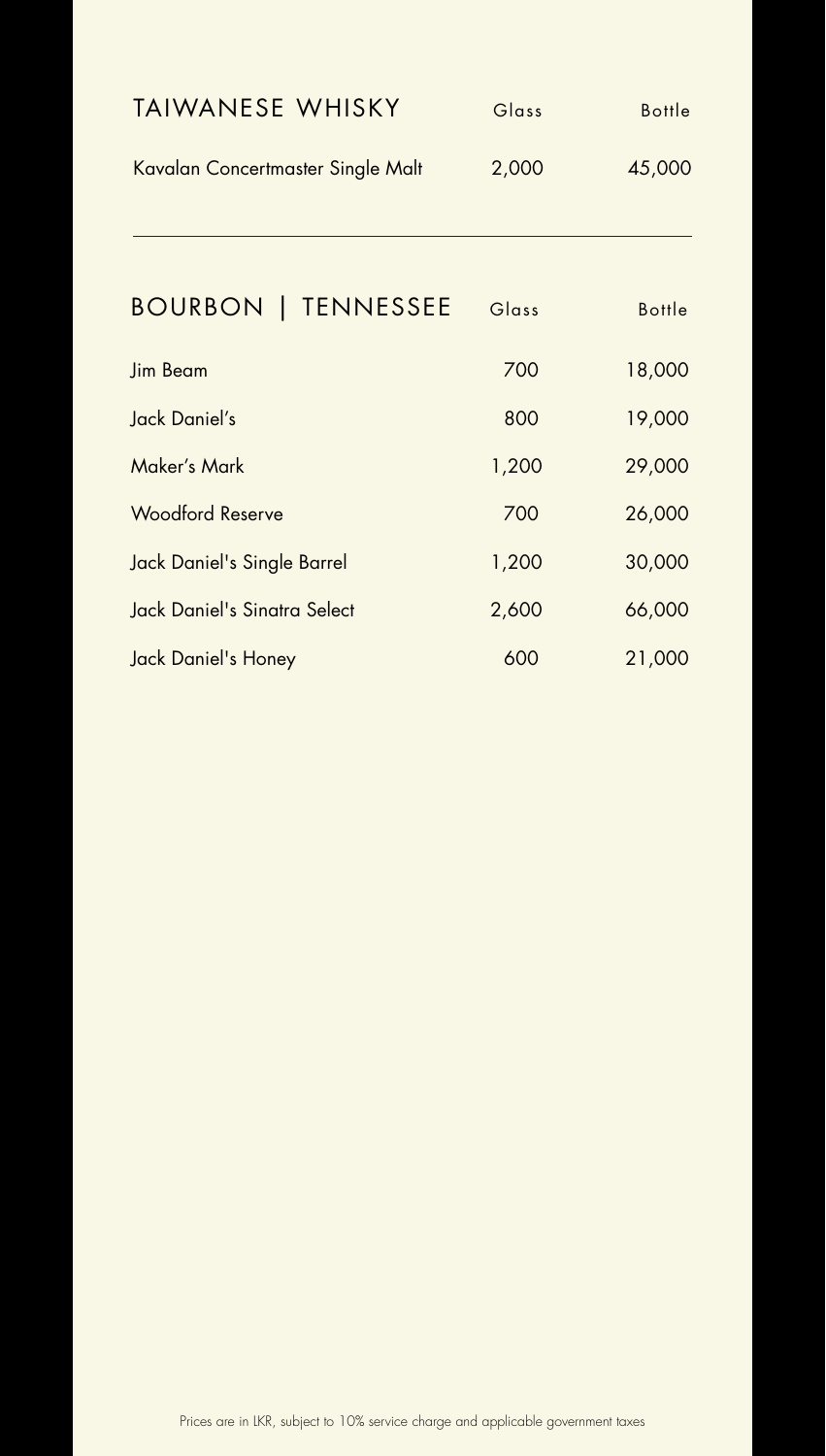| <b>TAIWANESE WHISKY</b>           | Glass | <b>Bottle</b> |
|-----------------------------------|-------|---------------|
| Kavalan Concertmaster Single Malt | 2,000 | 45,000        |
|                                   |       |               |
| <b>BOURBON   TENNESSEE</b>        | Glass | <b>Bottle</b> |
| <b>Jim Beam</b>                   | 700   | 18,000        |
| Jack Daniel's                     | 800   | 19,000        |
| <b>Maker's Mark</b>               | 1,200 | 29,000        |

Woodford Reserve 700 26,000

Jack Daniel's Single Barrel 1,200 30,000

Jack Daniel's Sinatra Select 2,600 66,000

Jack Daniel's Honey 600 21,000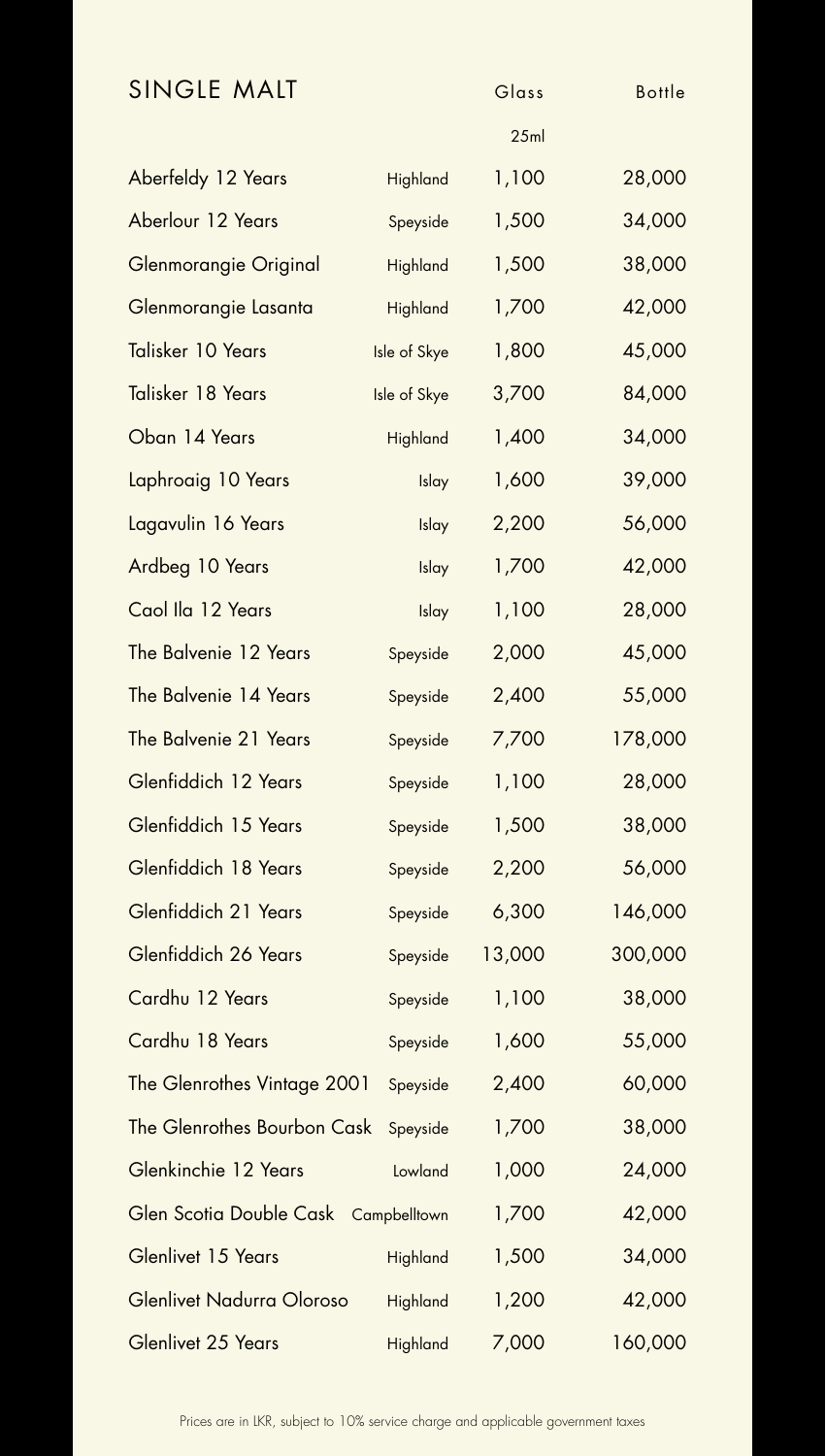| <b>SINGLE MALT</b>                   |                 | Glass  | <b>Bottle</b> |
|--------------------------------------|-----------------|--------|---------------|
|                                      |                 | 25ml   |               |
| Aberfeldy 12 Years                   | Highland        | 1,100  | 28,000        |
| Aberlour 12 Years                    | Speyside        | 1,500  | 34,000        |
| Glenmorangie Original                | Highland        | 1,500  | 38,000        |
| Glenmorangie Lasanta                 | Highland        | 1,700  | 42,000        |
| Talisker 10 Years                    | Isle of Skye    | 1,800  | 45,000        |
| Talisker 18 Years                    | Isle of Skye    | 3,700  | 84,000        |
| Oban 14 Years                        | Highland        | 1,400  | 34,000        |
| Laphroaig 10 Years                   | Islay           | 1,600  | 39,000        |
| Lagavulin 16 Years                   | Islay           | 2,200  | 56,000        |
| Ardbeg 10 Years                      | Islay           | 1,700  | 42,000        |
| Caol Ila 12 Years                    | Islay           | 1,100  | 28,000        |
| The Balvenie 12 Years                | Speyside        | 2,000  | 45,000        |
| The Balvenie 14 Years                | Speyside        | 2,400  | 55,000        |
| The Balvenie 21 Years                | Speyside        | 7,700  | 178,000       |
| Glenfiddich 12 Years                 | Speyside        | 1,100  | 28,000        |
| Glenfiddich 15 Years                 | Speyside        | 1,500  | 38,000        |
| Glenfiddich 18 Years                 | Speyside        | 2,200  | 56,000        |
| Glenfiddich 21 Years                 | Speyside        | 6,300  | 146,000       |
| Glenfiddich 26 Years                 | Speyside        | 13,000 | 300,000       |
| Cardhu 12 Years                      | Speyside        | 1,100  | 38,000        |
| Cardhu 18 Years                      | Speyside        | 1,600  | 55,000        |
| The Glenrothes Vintage 2001          | Speyside        | 2,400  | 60,000        |
| The Glenrothes Bourbon Cask          | Speyside        | 1,700  | 38,000        |
| Glenkinchie 12 Years                 | Lowland         | 1,000  | 24,000        |
| Glen Scotia Double Cask Campbelltown |                 | 1,700  | 42,000        |
| <b>Glenlivet 15 Years</b>            | Highland        | 1,500  | 34,000        |
| <b>Glenlivet Nadurra Oloroso</b>     | <b>Highland</b> | 1,200  | 42,000        |
| <b>Glenlivet 25 Years</b>            | Highland        | 7,000  | 160,000       |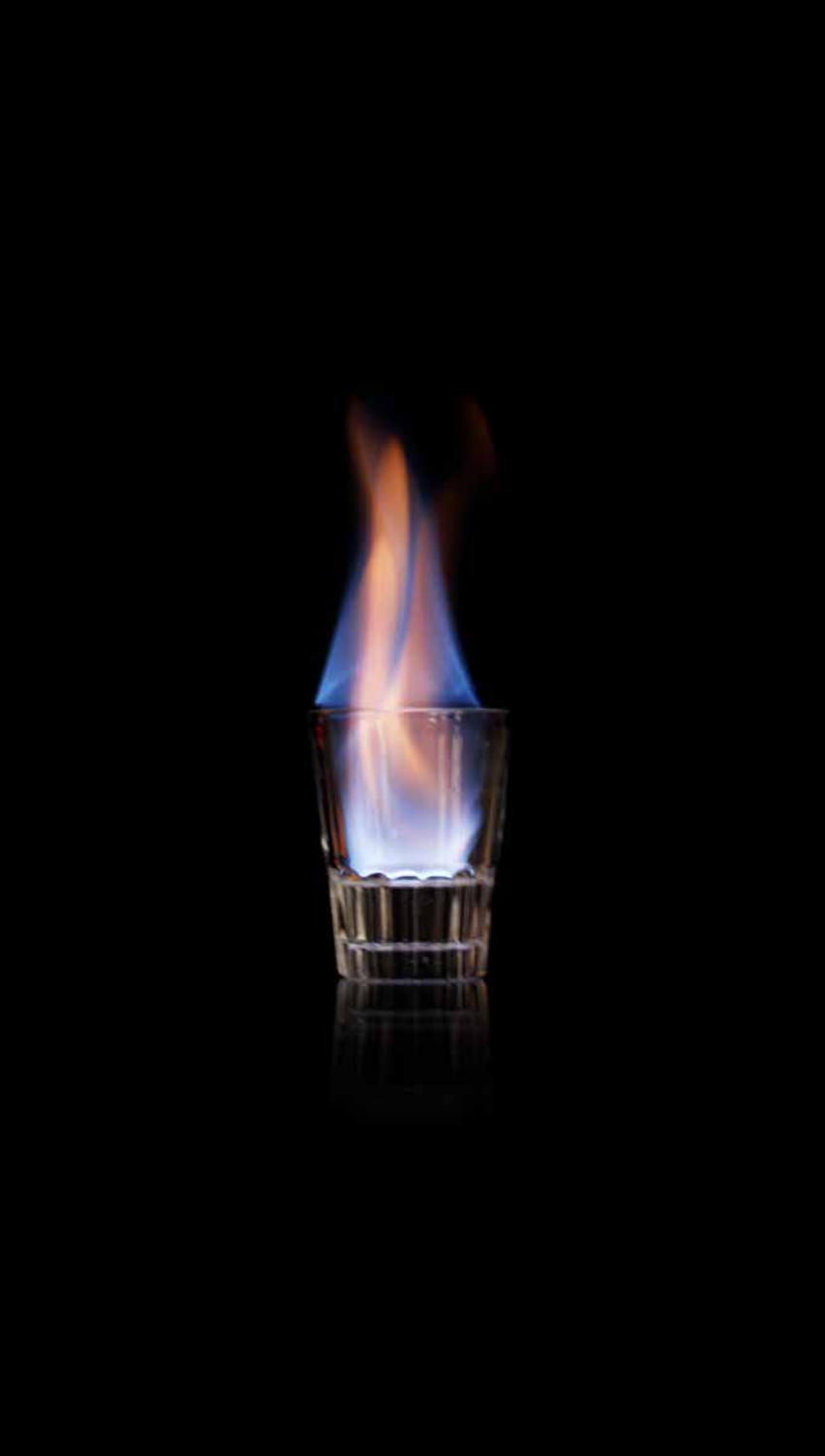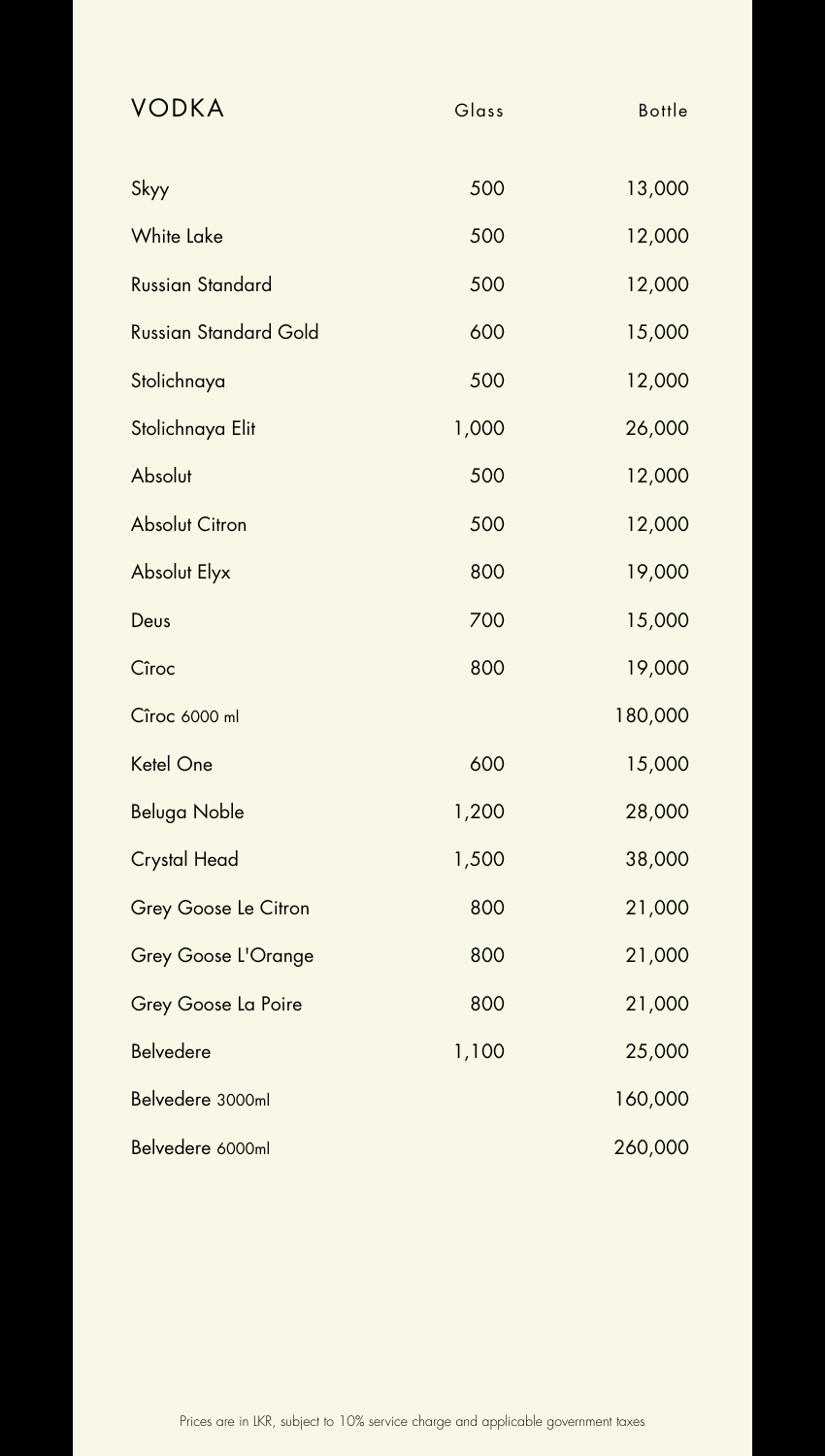| VODKA                        | Glass | <b>Bottle</b> |
|------------------------------|-------|---------------|
| Skyy                         | 500   | 13,000        |
| <b>White Lake</b>            | 500   | 12,000        |
| <b>Russian Standard</b>      | 500   | 12,000        |
| <b>Russian Standard Gold</b> | 600   | 15,000        |
| Stolichnaya                  | 500   | 12,000        |
| Stolichnaya Elit             | 1,000 | 26,000        |
| Absolut                      | 500   | 12,000        |
| <b>Absolut Citron</b>        | 500   | 12,000        |
| <b>Absolut Elyx</b>          | 800   | 19,000        |
| Deus                         | 700   | 15,000        |
| Cîroc                        | 800   | 19,000        |
| Cîroc 6000 ml                |       | 180,000       |
| <b>Ketel One</b>             | 600   | 15,000        |
| Beluga Noble                 | 1,200 | 28,000        |
| <b>Crystal Head</b>          | 1,500 | 38,000        |
| <b>Grey Goose Le Citron</b>  | 800   | 21,000        |
| <b>Grey Goose L'Orange</b>   | 800   | 21,000        |
| <b>Grey Goose La Poire</b>   | 800   | 21,000        |
| <b>Belvedere</b>             | 1,100 | 25,000        |
| Belvedere 3000ml             |       | 160,000       |
| Belvedere 6000ml             |       | 260,000       |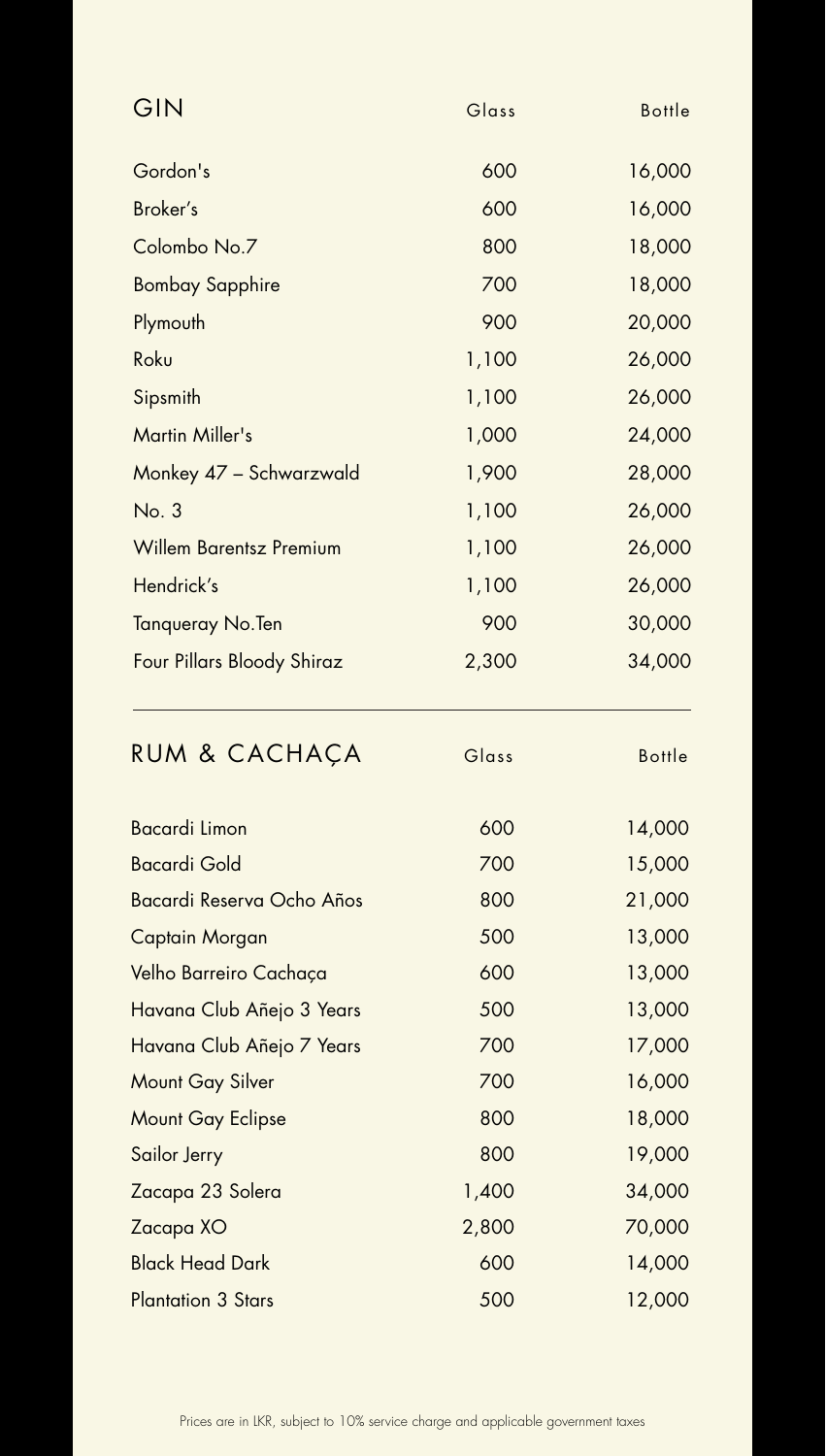| GIN                            | Glass | <b>Bottle</b> |
|--------------------------------|-------|---------------|
| Gordon's                       | 600   | 16,000        |
| Broker's                       | 600   | 16,000        |
| Colombo No.7                   | 800   | 18,000        |
| <b>Bombay Sapphire</b>         | 700   | 18,000        |
| Plymouth                       | 900   | 20,000        |
| Roku                           | 1,100 | 26,000        |
| Sipsmith                       | 1,100 | 26,000        |
| Martin Miller's                | 1,000 | 24,000        |
| Monkey 47 - Schwarzwald        | 1,900 | 28,000        |
| No. 3                          | 1,100 | 26,000        |
| <b>Willem Barentsz Premium</b> | 1,100 | 26,000        |
| Hendrick's                     | 1,100 | 26,000        |
| <b>Tanqueray No. Ten</b>       | 900   | 30,000        |
| Four Pillars Bloody Shiraz     | 2,300 | 34,000        |
|                                |       |               |

| RUM & CACHAÇA             | Glass | <b>Bottle</b> |
|---------------------------|-------|---------------|
| <b>Bacardi Limon</b>      | 600   | 14,000        |
| <b>Bacardi Gold</b>       | 700   | 15,000        |
| Bacardi Reserva Ocho Años | 800   | 21,000        |
| Captain Morgan            | 500   | 13,000        |
| Velho Barreiro Cachaça    | 600   | 13,000        |
| Havana Club Añejo 3 Years | 500   | 13,000        |
| Havana Club Añejo 7 Years | 700   | 17,000        |
| <b>Mount Gay Silver</b>   | 700   | 16,000        |
| <b>Mount Gay Eclipse</b>  | 800   | 18,000        |
| Sailor Jerry              | 800   | 19,000        |
| Zacapa 23 Solera          | 1,400 | 34,000        |
| Zacapa XO                 | 2,800 | 70,000        |
| <b>Black Head Dark</b>    | 600   | 14,000        |
| <b>Plantation 3 Stars</b> | 500   | 12,000        |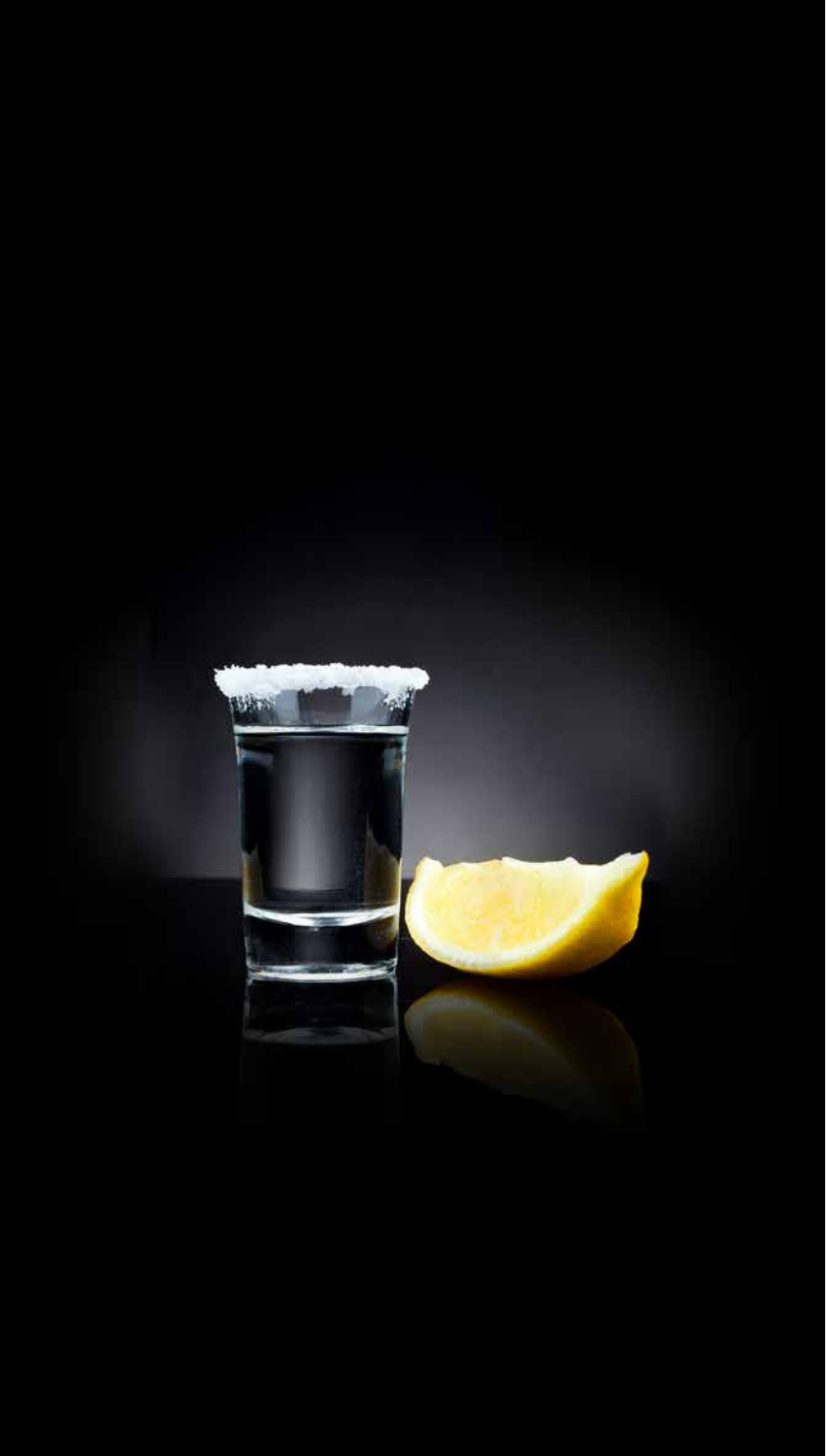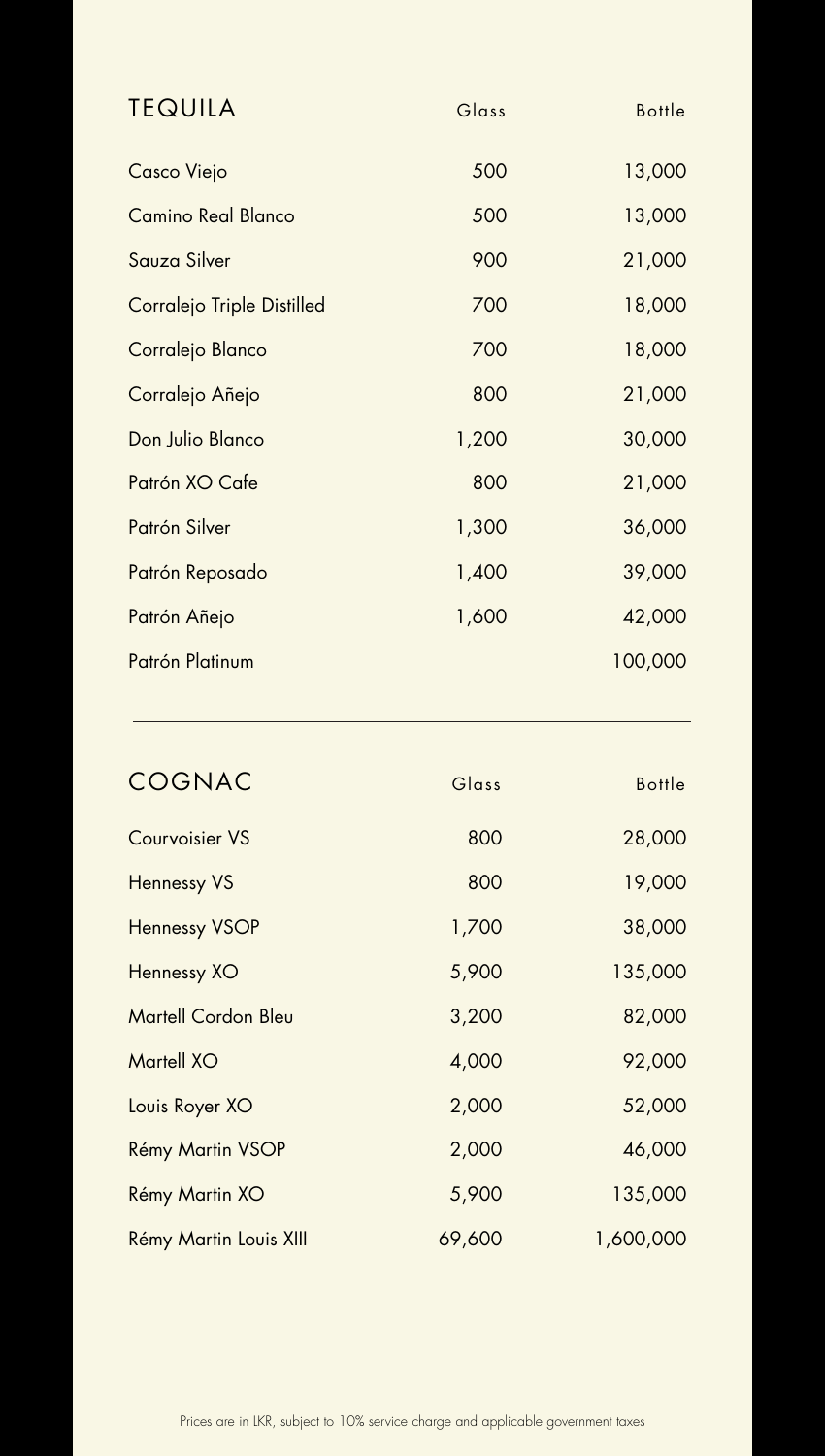| Glass | <b>Bottle</b> |
|-------|---------------|
| 500   | 13,000        |
| 500   | 13,000        |
| 900   | 21,000        |
| 700   | 18,000        |
| 700   | 18,000        |
| 800   | 21,000        |
| 1,200 | 30,000        |
| 800   | 21,000        |
| 1,300 | 36,000        |
| 1,400 | 39,000        |
| 1,600 | 42,000        |
|       | 100,000       |
|       |               |

| COGNAC                        | Glass  | <b>Bottle</b> |
|-------------------------------|--------|---------------|
| <b>Courvoisier VS</b>         | 800    | 28,000        |
| <b>Hennessy VS</b>            | 800    | 19,000        |
| <b>Hennessy VSOP</b>          | 1,700  | 38,000        |
| Hennessy XO                   | 5,900  | 135,000       |
| <b>Martell Cordon Bleu</b>    | 3,200  | 82,000        |
| <b>Martell XO</b>             | 4,000  | 92,000        |
| Louis Royer XO                | 2,000  | 52,000        |
| Rémy Martin VSOP              | 2,000  | 46,000        |
| Rémy Martin XO                | 5,900  | 135,000       |
| <b>Rémy Martin Louis XIII</b> | 69,600 | 1,600,000     |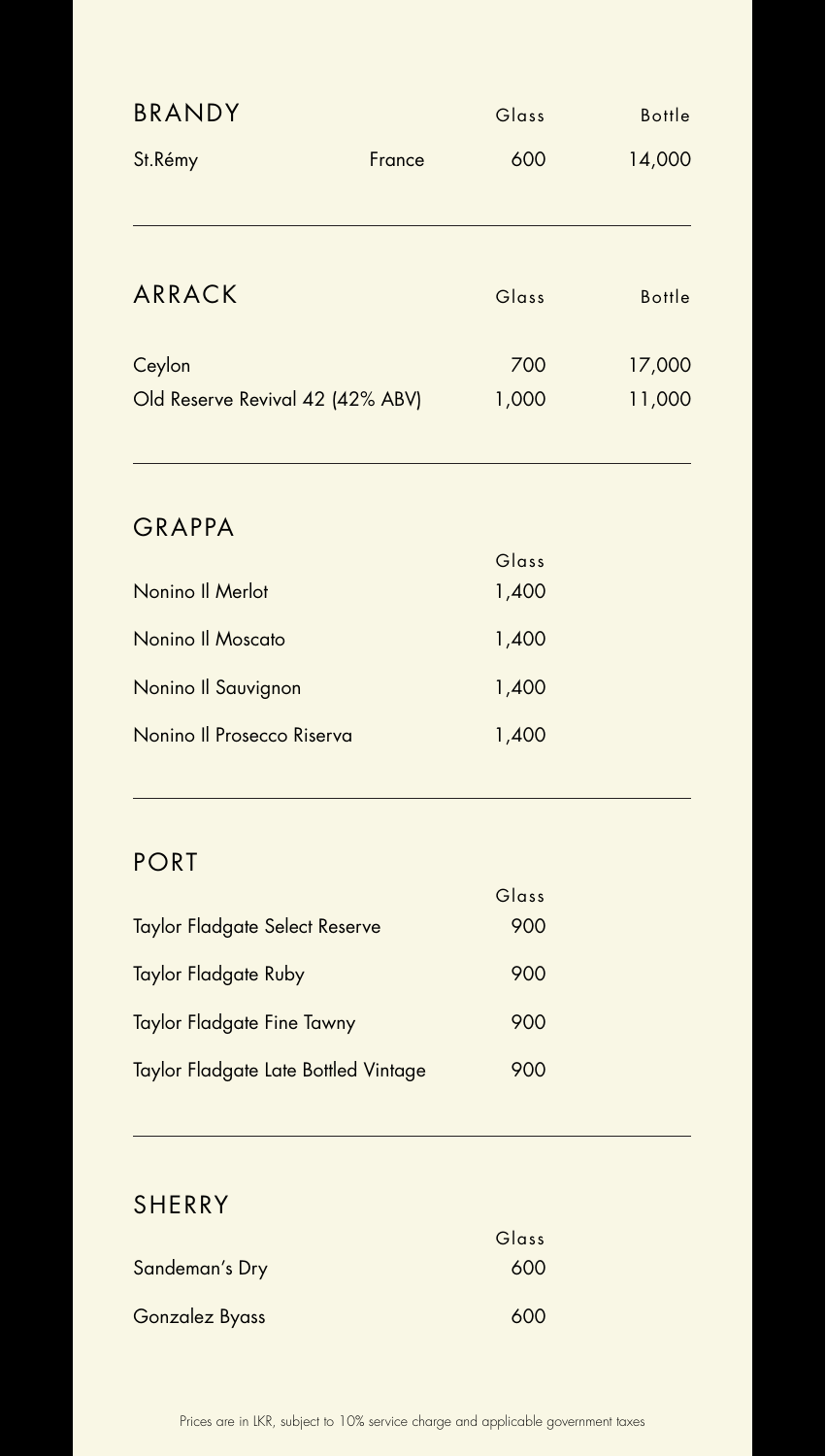| <b>BRANDY</b>                    |        | Glass | <b>Bottle</b> |
|----------------------------------|--------|-------|---------------|
| St.Rémy                          | France | 600   | 14,000        |
|                                  |        |       |               |
| ARRACK                           |        | Glass | <b>Bottle</b> |
| Ceylon                           |        | 700   | 17,000        |
| Old Reserve Revival 42 (42% ABV) |        | 1,000 | 11,000        |
|                                  |        |       |               |

#### GRAPPA

|                            | Glass |
|----------------------------|-------|
| Nonino II Merlot           | 1,400 |
| Nonino Il Moscato          | 1,400 |
| Nonino Il Sauvignon        | 1,400 |
| Nonino Il Prosecco Riserva | 1,400 |

## PORT

|                                       | Glass |
|---------------------------------------|-------|
| <b>Taylor Fladgate Select Reserve</b> | 900   |
| <b>Taylor Fladgate Ruby</b>           | 900   |
| <b>Taylor Fladgate Fine Tawny</b>     | 900   |
| Taylor Fladgate Late Bottled Vintage  | 900   |

## SHERRY

|                | Glass |
|----------------|-------|
| Sandeman's Dry | 600   |
| Gonzalez Byass | 600   |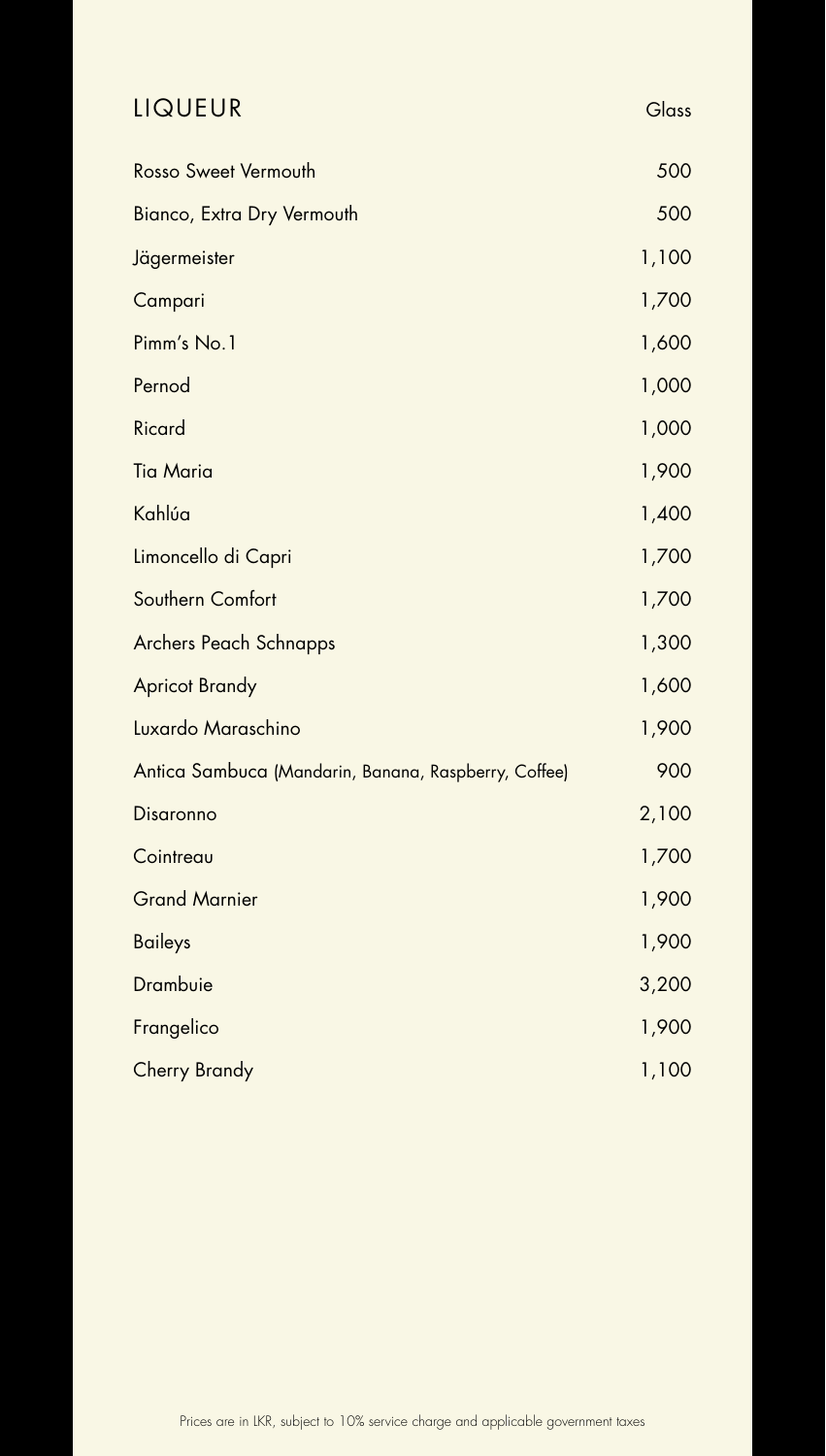| LIQUEUR                                              | <b>Glass</b> |
|------------------------------------------------------|--------------|
| <b>Rosso Sweet Vermouth</b>                          | 500          |
| Bianco, Extra Dry Vermouth                           | 500          |
| Jägermeister                                         | 1,100        |
| Campari                                              | 1,700        |
| Pimm's No.1                                          | 1,600        |
| Pernod                                               | 1,000        |
| Ricard                                               | 1,000        |
| Tia Maria                                            | 1,900        |
| Kahlúa                                               | 1,400        |
| Limoncello di Capri                                  | 1,700        |
| Southern Comfort                                     | 1,700        |
| Archers Peach Schnapps                               | 1,300        |
| <b>Apricot Brandy</b>                                | 1,600        |
| Luxardo Maraschino                                   | 1,900        |
| Antica Sambuca (Mandarin, Banana, Raspberry, Coffee) | 900          |
| <b>Disaronno</b>                                     | 2,100        |
| Cointreau                                            | 1,700        |
| <b>Grand Marnier</b>                                 | 1,900        |
| Baileys                                              | 1,900        |
| Drambuie                                             | 3,200        |
| Frangelico                                           | 1,900        |
| <b>Cherry Brandy</b>                                 | 1,100        |